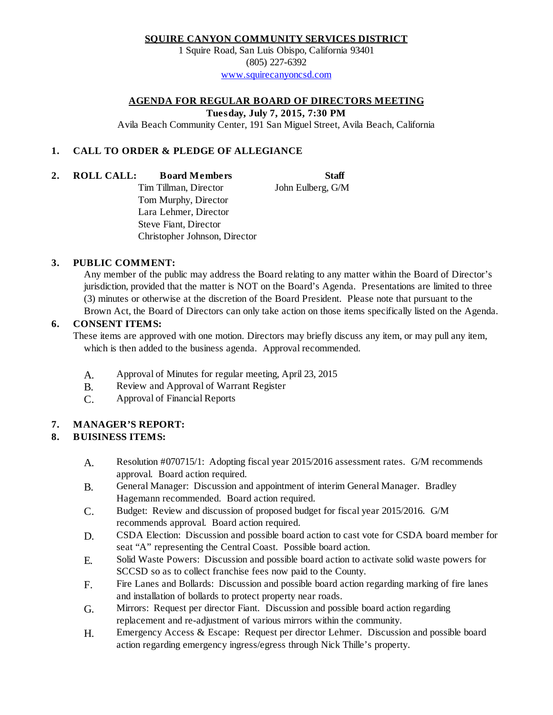#### **SQUIRE CANYON COMMUNITY SERVICES DISTRICT**

1 Squire Road, San Luis Obispo, California 93401 (805) 227-6392 [www.squirecanyoncsd.com](http://www.squirecanyoncsd.com/)

### **AGENDA FOR REGULAR BOARD OF DIRECTORS MEETING**

**Tuesday, July 7, 2015, 7:30 PM**

Avila Beach Community Center, 191 San Miguel Street, Avila Beach, California

# **1. CALL TO ORDER & PLEDGE OF ALLEGIANCE**

**2. ROLL CALL: Board Members Staff**

Tim Tillman, Director John Eulberg, G/M Tom Murphy, Director Lara Lehmer, Director Steve Fiant, Director

Christopher Johnson, Director

# **3. PUBLIC COMMENT:**

Any member of the public may address the Board relating to any matter within the Board of Director's jurisdiction, provided that the matter is NOT on the Board's Agenda. Presentations are limited to three (3) minutes or otherwise at the discretion of the Board President. Please note that pursuant to the Brown Act, the Board of Directors can only take action on those items specifically listed on the Agenda.

#### **6. CONSENT ITEMS:**

These items are approved with one motion. Directors may briefly discuss any item, or may pull any item, which is then added to the business agenda. Approval recommended.

- A. Approval of Minutes for regular meeting, April 23, 2015
- B. Review and Approval of Warrant Register
- C. Approval of Financial Reports

## **7. MANAGER'S REPORT:**

## **8. BUISINESS ITEMS:**

- Resolution #070715/1: Adopting fiscal year 2015/2016 assessment rates. G/M recommends approval. Board action required. A.
- General Manager: Discussion and appointment of interim General Manager. Bradley Hagemann recommended. Board action required. B.
- Budget: Review and discussion of proposed budget for fiscal year 2015/2016. G/M recommends approval. Board action required. C.
- CSDA Election: Discussion and possible board action to cast vote for CSDA board member for seat "A" representing the Central Coast. Possible board action. D.
- Solid Waste Powers: Discussion and possible board action to activate solid waste powers for SCCSD so as to collect franchise fees now paid to the County. E.
- Fire Lanes and Bollards: Discussion and possible board action regarding marking of fire lanes and installation of bollards to protect property near roads. F.
- Mirrors: Request per director Fiant. Discussion and possible board action regarding replacement and re-adjustment of various mirrors within the community. G.
- Emergency Access & Escape: Request per director Lehmer. Discussion and possible board action regarding emergency ingress/egress through Nick Thille's property. H.